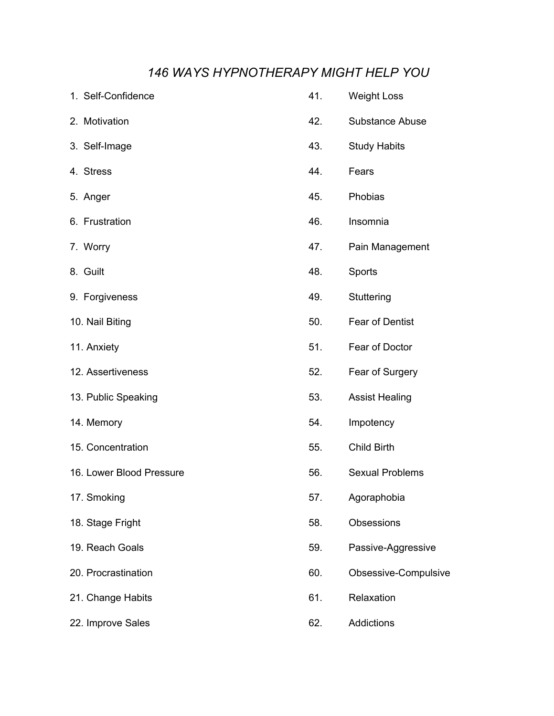## *146 WAYS HYPNOTHERAPY MIGHT HELP YOU*

| 1. Self-Confidence       | 41. | <b>Weight Loss</b>     |
|--------------------------|-----|------------------------|
| 2. Motivation            | 42. | <b>Substance Abuse</b> |
| 3. Self-Image            | 43. | <b>Study Habits</b>    |
| 4. Stress                | 44. | Fears                  |
| 5. Anger                 | 45. | Phobias                |
| 6. Frustration           | 46. | Insomnia               |
| 7. Worry                 | 47. | Pain Management        |
| 8. Guilt                 | 48. | Sports                 |
| 9. Forgiveness           | 49. | Stuttering             |
| 10. Nail Biting          | 50. | Fear of Dentist        |
| 11. Anxiety              | 51. | Fear of Doctor         |
| 12. Assertiveness        | 52. | Fear of Surgery        |
| 13. Public Speaking      | 53. | <b>Assist Healing</b>  |
| 14. Memory               | 54. | Impotency              |
| 15. Concentration        | 55. | Child Birth            |
| 16. Lower Blood Pressure | 56. | <b>Sexual Problems</b> |
| 17. Smoking              | 57. | Agoraphobia            |
| 18. Stage Fright         | 58. | Obsessions             |
| 19. Reach Goals          | 59. | Passive-Aggressive     |
| 20. Procrastination      | 60. | Obsessive-Compulsive   |
| 21. Change Habits        | 61. | Relaxation             |
| 22. Improve Sales        | 62. | Addictions             |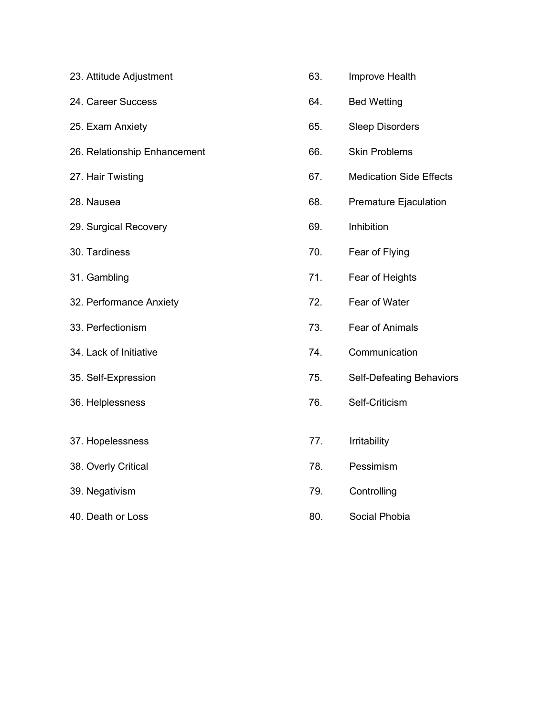| 23. Attitude Adjustment      | 63. | Improve Health                 |
|------------------------------|-----|--------------------------------|
| 24. Career Success           | 64. | <b>Bed Wetting</b>             |
| 25. Exam Anxiety             | 65. | <b>Sleep Disorders</b>         |
| 26. Relationship Enhancement | 66. | <b>Skin Problems</b>           |
| 27. Hair Twisting            | 67. | <b>Medication Side Effects</b> |
| 28. Nausea                   | 68. | Premature Ejaculation          |
| 29. Surgical Recovery        | 69. | Inhibition                     |
| 30. Tardiness                | 70. | Fear of Flying                 |
| 31. Gambling                 | 71. | Fear of Heights                |
| 32. Performance Anxiety      | 72. | Fear of Water                  |
| 33. Perfectionism            | 73. | Fear of Animals                |
| 34. Lack of Initiative       | 74. | Communication                  |
| 35. Self-Expression          | 75. | Self-Defeating Behaviors       |
| 36. Helplessness             | 76. | Self-Criticism                 |
|                              |     |                                |
| 37. Hopelessness             | 77. | Irritability                   |
| 38. Overly Critical          | 78. | Pessimism                      |
| 39. Negativism               | 79. | Controlling                    |
| 40. Death or Loss            | 80. | Social Phobia                  |